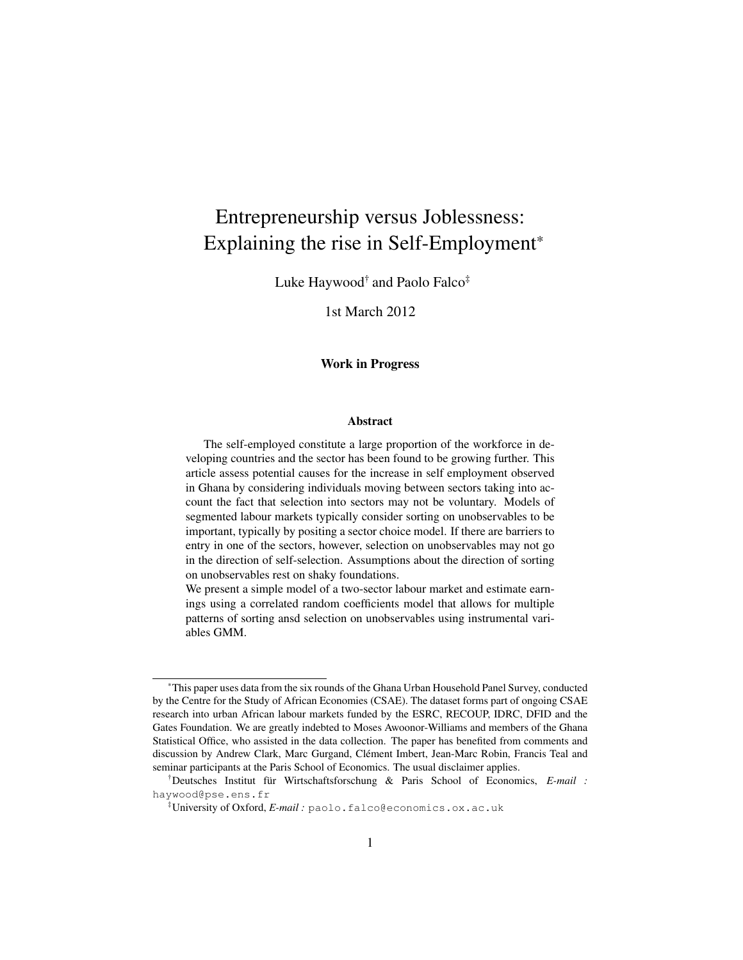# Entrepreneurship versus Joblessness: Explaining the rise in Self-Employment\*

Luke Haywood† and Paolo Falco‡

1st March 2012

#### Work in Progress

#### Abstract

The self-employed constitute a large proportion of the workforce in developing countries and the sector has been found to be growing further. This article assess potential causes for the increase in self employment observed in Ghana by considering individuals moving between sectors taking into account the fact that selection into sectors may not be voluntary. Models of segmented labour markets typically consider sorting on unobservables to be important, typically by positing a sector choice model. If there are barriers to entry in one of the sectors, however, selection on unobservables may not go in the direction of self-selection. Assumptions about the direction of sorting on unobservables rest on shaky foundations.

We present a simple model of a two-sector labour market and estimate earnings using a correlated random coefficients model that allows for multiple patterns of sorting ansd selection on unobservables using instrumental variables GMM.

<sup>\*</sup>This paper uses data from the six rounds of the Ghana Urban Household Panel Survey, conducted by the Centre for the Study of African Economies (CSAE). The dataset forms part of ongoing CSAE research into urban African labour markets funded by the ESRC, RECOUP, IDRC, DFID and the Gates Foundation. We are greatly indebted to Moses Awoonor-Williams and members of the Ghana Statistical Office, who assisted in the data collection. The paper has benefited from comments and discussion by Andrew Clark, Marc Gurgand, Clément Imbert, Jean-Marc Robin, Francis Teal and seminar participants at the Paris School of Economics. The usual disclaimer applies.

<sup>†</sup>Deutsches Institut für Wirtschaftsforschung & Paris School of Economics, *E-mail :* haywood@pse.ens.fr

<sup>‡</sup>University of Oxford, *E-mail :* paolo.falco@economics.ox.ac.uk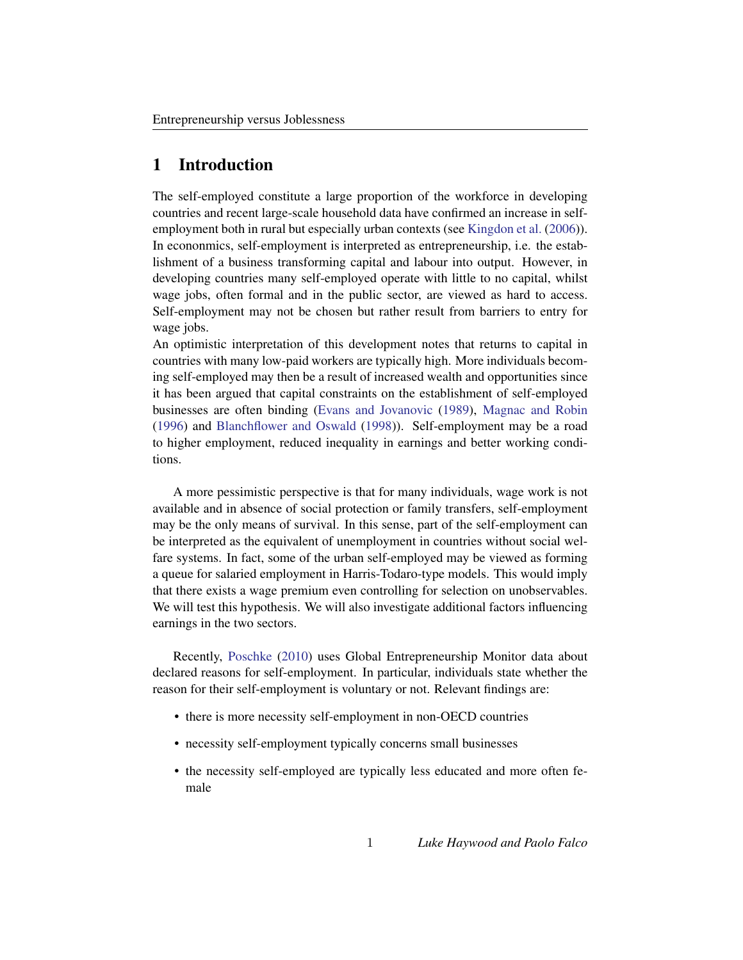# 1 Introduction

The self-employed constitute a large proportion of the workforce in developing countries and recent large-scale household data have confirmed an increase in selfemployment both in rural but especially urban contexts (see [Kingdon et al.](#page-22-0) [\(2006\)](#page-22-0)). In econonmics, self-employment is interpreted as entrepreneurship, i.e. the establishment of a business transforming capital and labour into output. However, in developing countries many self-employed operate with little to no capital, whilst wage jobs, often formal and in the public sector, are viewed as hard to access. Self-employment may not be chosen but rather result from barriers to entry for wage jobs.

An optimistic interpretation of this development notes that returns to capital in countries with many low-paid workers are typically high. More individuals becoming self-employed may then be a result of increased wealth and opportunities since it has been argued that capital constraints on the establishment of self-employed businesses are often binding [\(Evans and Jovanovic](#page-22-1) [\(1989\)](#page-22-1), [Magnac and Robin](#page-23-0) [\(1996\)](#page-23-0) and [Blanchflower and Oswald](#page-22-2) [\(1998\)](#page-22-2)). Self-employment may be a road to higher employment, reduced inequality in earnings and better working conditions.

A more pessimistic perspective is that for many individuals, wage work is not available and in absence of social protection or family transfers, self-employment may be the only means of survival. In this sense, part of the self-employment can be interpreted as the equivalent of unemployment in countries without social welfare systems. In fact, some of the urban self-employed may be viewed as forming a queue for salaried employment in Harris-Todaro-type models. This would imply that there exists a wage premium even controlling for selection on unobservables. We will test this hypothesis. We will also investigate additional factors influencing earnings in the two sectors.

Recently, [Poschke](#page-23-1) [\(2010\)](#page-23-1) uses Global Entrepreneurship Monitor data about declared reasons for self-employment. In particular, individuals state whether the reason for their self-employment is voluntary or not. Relevant findings are:

- there is more necessity self-employment in non-OECD countries
- necessity self-employment typically concerns small businesses
- the necessity self-employed are typically less educated and more often female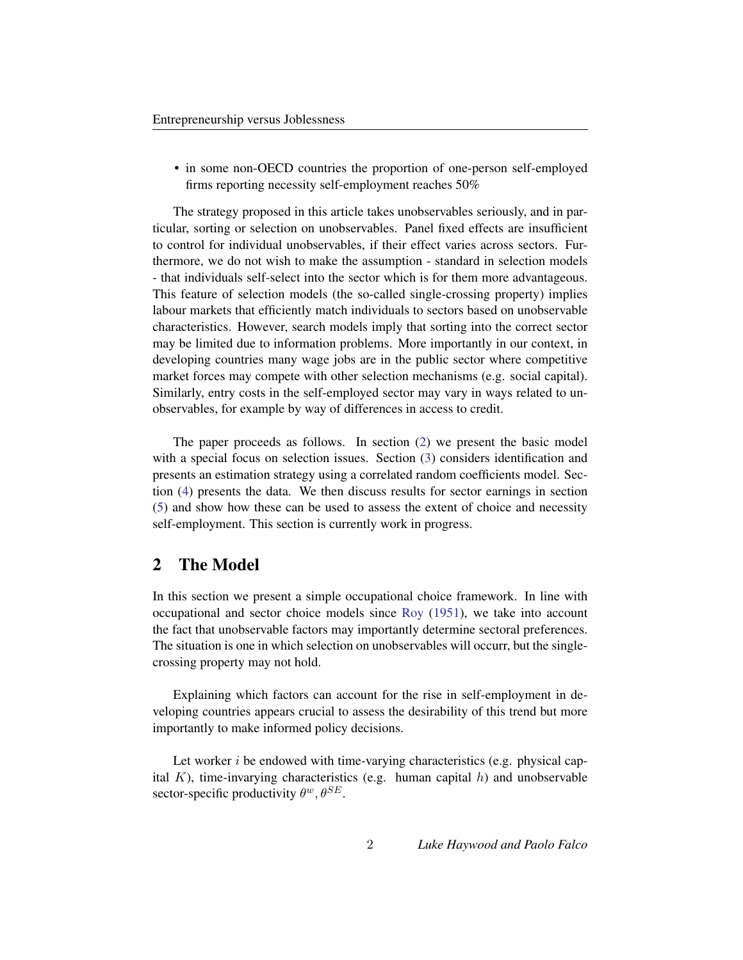• in some non-OECD countries the proportion of one-person self-employed firms reporting necessity self-employment reaches 50%

The strategy proposed in this article takes unobservables seriously, and in particular, sorting or selection on unobservables. Panel fixed effects are insufficient to control for individual unobservables, if their effect varies across sectors. Furthermore, we do not wish to make the assumption - standard in selection models - that individuals self-select into the sector which is for them more advantageous. This feature of selection models (the so-called single-crossing property) implies labour markets that efficiently match individuals to sectors based on unobservable characteristics. However, search models imply that sorting into the correct sector may be limited due to information problems. More importantly in our context, in developing countries many wage jobs are in the public sector where competitive market forces may compete with other selection mechanisms (e.g. social capital). Similarly, entry costs in the self-employed sector may vary in ways related to unobservables, for example by way of differences in access to credit.

The paper proceeds as follows. In section [\(2\)](#page-2-0) we present the basic model with a special focus on selection issues. Section [\(3\)](#page-5-0) considers identification and presents an estimation strategy using a correlated random coefficients model. Section [\(4\)](#page-9-0) presents the data. We then discuss results for sector earnings in section [\(5\)](#page-15-0) and show how these can be used to assess the extent of choice and necessity self-employment. This section is currently work in progress.

### <span id="page-2-0"></span>2 The Model

In this section we present a simple occupational choice framework. In line with occupational and sector choice models since [Roy](#page-23-2) [\(1951\)](#page-23-2), we take into account the fact that unobservable factors may importantly determine sectoral preferences. The situation is one in which selection on unobservables will occurr, but the singlecrossing property may not hold.

Explaining which factors can account for the rise in self-employment in developing countries appears crucial to assess the desirability of this trend but more importantly to make informed policy decisions.

Let worker  $i$  be endowed with time-varying characteristics (e.g. physical capital K), time-invarying characteristics (e.g. human capital  $h$ ) and unobservable sector-specific productivity  $\theta^w, \theta^{SE}$ .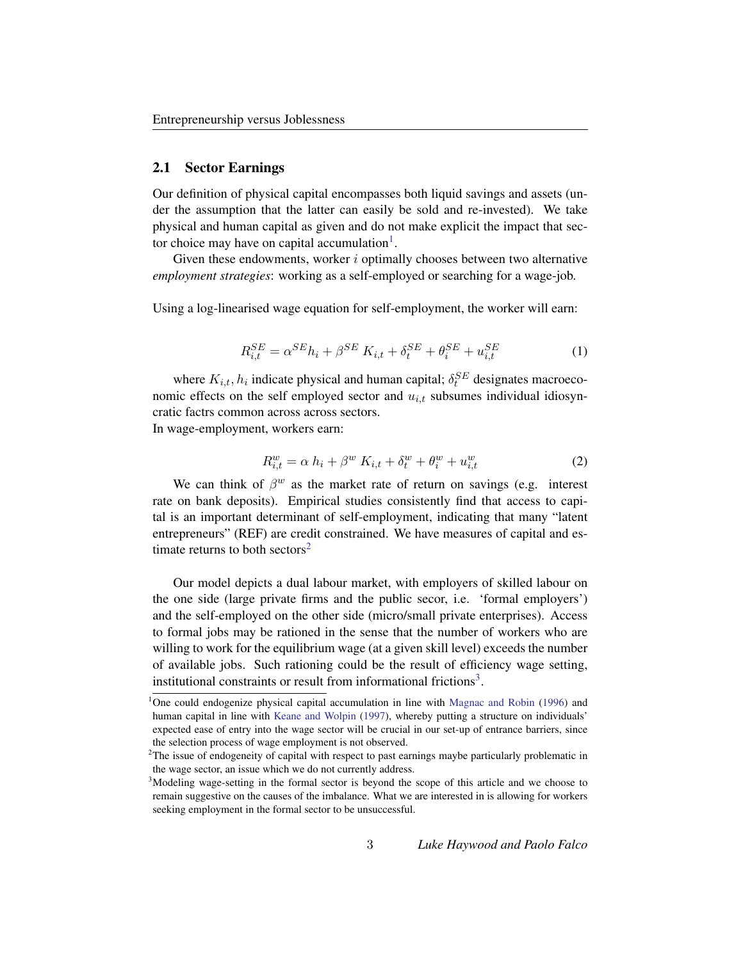#### 2.1 Sector Earnings

Our definition of physical capital encompasses both liquid savings and assets (under the assumption that the latter can easily be sold and re-invested). We take physical and human capital as given and do not make explicit the impact that sec-tor choice may have on capital accumulation<sup>[1](#page-3-0)</sup>.

Given these endowments, worker  $i$  optimally chooses between two alternative *employment strategies*: working as a self-employed or searching for a wage-job.

Using a log-linearised wage equation for self-employment, the worker will earn:

$$
R_{i,t}^{SE} = \alpha^{SE} h_i + \beta^{SE} K_{i,t} + \delta_t^{SE} + \theta_i^{SE} + u_{i,t}^{SE}
$$
 (1)

where  $K_{i,t}$ ,  $h_i$  indicate physical and human capital;  $\delta_t^{SE}$  designates macroeconomic effects on the self employed sector and  $u_{i,t}$  subsumes individual idiosyncratic factrs common across across sectors. In wage-employment, workers earn:

<span id="page-3-4"></span><span id="page-3-3"></span>
$$
R_{i,t}^w = \alpha h_i + \beta^w K_{i,t} + \delta_t^w + \theta_i^w + u_{i,t}^w
$$
 (2)

We can think of  $\beta^w$  as the market rate of return on savings (e.g. interest rate on bank deposits). Empirical studies consistently find that access to capital is an important determinant of self-employment, indicating that many "latent entrepreneurs" (REF) are credit constrained. We have measures of capital and es-timate returns to both sectors<sup>[2](#page-3-1)</sup>

Our model depicts a dual labour market, with employers of skilled labour on the one side (large private firms and the public secor, i.e. 'formal employers') and the self-employed on the other side (micro/small private enterprises). Access to formal jobs may be rationed in the sense that the number of workers who are willing to work for the equilibrium wage (at a given skill level) exceeds the number of available jobs. Such rationing could be the result of efficiency wage setting, institutional constraints or result from informational frictions<sup>[3](#page-3-2)</sup>.

<span id="page-3-0"></span><sup>&</sup>lt;sup>1</sup>One could endogenize physical capital accumulation in line with [Magnac and Robin](#page-23-0) [\(1996\)](#page-23-0) and human capital in line with [Keane and Wolpin](#page-22-3) [\(1997\)](#page-22-3), whereby putting a structure on individuals' expected ease of entry into the wage sector will be crucial in our set-up of entrance barriers, since the selection process of wage employment is not observed.

<span id="page-3-1"></span> $2$ The issue of endogeneity of capital with respect to past earnings maybe particularly problematic in the wage sector, an issue which we do not currently address.

<span id="page-3-2"></span><sup>&</sup>lt;sup>3</sup>Modeling wage-setting in the formal sector is beyond the scope of this article and we choose to remain suggestive on the causes of the imbalance. What we are interested in is allowing for workers seeking employment in the formal sector to be unsuccessful.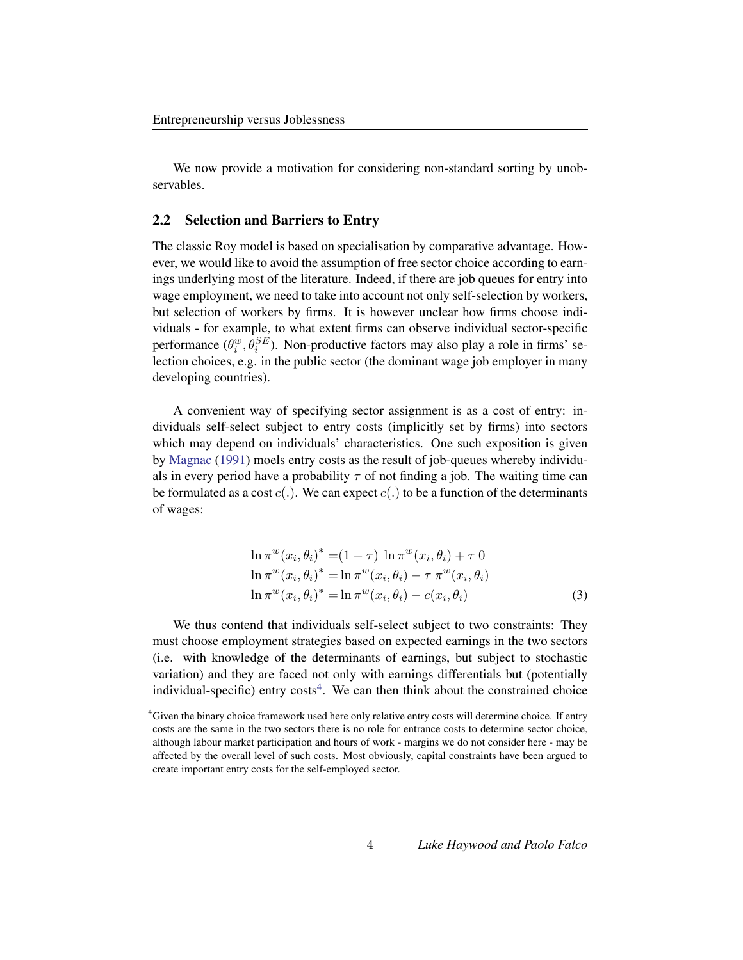We now provide a motivation for considering non-standard sorting by unobservables.

#### 2.2 Selection and Barriers to Entry

The classic Roy model is based on specialisation by comparative advantage. However, we would like to avoid the assumption of free sector choice according to earnings underlying most of the literature. Indeed, if there are job queues for entry into wage employment, we need to take into account not only self-selection by workers, but selection of workers by firms. It is however unclear how firms choose individuals - for example, to what extent firms can observe individual sector-specific performance  $(\theta_i^w, \theta_i^{SE})$ . Non-productive factors may also play a role in firms' selection choices, e.g. in the public sector (the dominant wage job employer in many developing countries).

A convenient way of specifying sector assignment is as a cost of entry: individuals self-select subject to entry costs (implicitly set by firms) into sectors which may depend on individuals' characteristics. One such exposition is given by [Magnac](#page-23-3) [\(1991\)](#page-23-3) moels entry costs as the result of job-queues whereby individuals in every period have a probability  $\tau$  of not finding a job. The waiting time can be formulated as a cost  $c(.)$ . We can expect  $c(.)$  to be a function of the determinants of wages:

$$
\ln \pi^{w}(x_{i}, \theta_{i})^{*} = (1 - \tau) \ln \pi^{w}(x_{i}, \theta_{i}) + \tau \ 0
$$
  
\n
$$
\ln \pi^{w}(x_{i}, \theta_{i})^{*} = \ln \pi^{w}(x_{i}, \theta_{i}) - \tau \ \pi^{w}(x_{i}, \theta_{i})
$$
  
\n
$$
\ln \pi^{w}(x_{i}, \theta_{i})^{*} = \ln \pi^{w}(x_{i}, \theta_{i}) - c(x_{i}, \theta_{i})
$$
\n(3)

We thus contend that individuals self-select subject to two constraints: They must choose employment strategies based on expected earnings in the two sectors (i.e. with knowledge of the determinants of earnings, but subject to stochastic variation) and they are faced not only with earnings differentials but (potentially individual-specific) entry costs<sup>[4](#page-4-0)</sup>. We can then think about the constrained choice

<span id="page-4-0"></span><sup>&</sup>lt;sup>4</sup>Given the binary choice framework used here only relative entry costs will determine choice. If entry costs are the same in the two sectors there is no role for entrance costs to determine sector choice, although labour market participation and hours of work - margins we do not consider here - may be affected by the overall level of such costs. Most obviously, capital constraints have been argued to create important entry costs for the self-employed sector.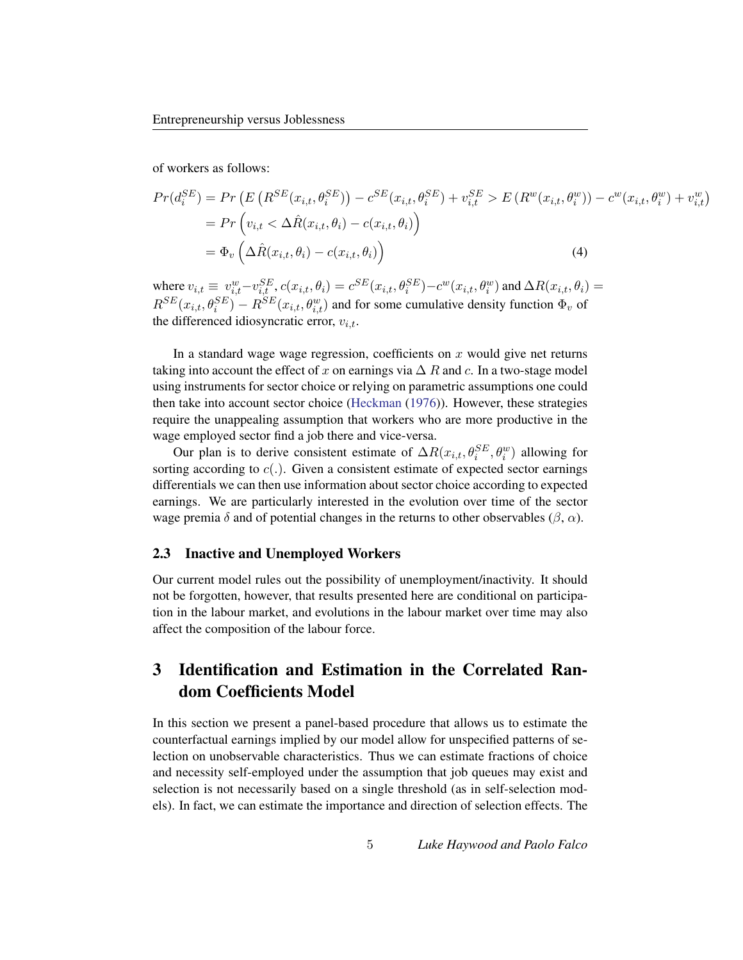of workers as follows:

$$
Pr(d_i^{SE}) = Pr\left(E\left(R^{SE}(x_{i,t}, \theta_i^{SE})\right) - c^{SE}(x_{i,t}, \theta_i^{SE}) + v_{i,t}^{SE} > E\left(R^w(x_{i,t}, \theta_i^w)\right) - c^w(x_{i,t}, \theta_i^w) + v_{i,t}^w\right)
$$
  
= 
$$
Pr\left(v_{i,t} < \Delta \hat{R}(x_{i,t}, \theta_i) - c(x_{i,t}, \theta_i)\right)
$$
  
= 
$$
\Phi_v\left(\Delta \hat{R}(x_{i,t}, \theta_i) - c(x_{i,t}, \theta_i)\right)
$$
 (4)

where  $v_{i,t} \equiv v_{i,t}^w - v_{i,t}^{SE}$ ,  $c(x_{i,t}, \theta_i) = c^{SE}(x_{i,t}, \theta_i^{SE}) - c^w(x_{i,t}, \theta_i^w)$  and  $\Delta R(x_{i,t}, \theta_i) = c^{SE}(x_{i,t}, \theta_i)$  $R^{SE}(x_{i,t}, \theta_i^{SE}) - R^{SE}(x_{i,t}, \theta_{i,t}^{w})$  and for some cumulative density function  $\Phi_v$  of the differenced idiosyncratic error,  $v_{i,t}$ .

In a standard wage wage regression, coefficients on  $x$  would give net returns taking into account the effect of x on earnings via  $\Delta R$  and c. In a two-stage model using instruments for sector choice or relying on parametric assumptions one could then take into account sector choice [\(Heckman](#page-22-4) [\(1976\)](#page-22-4)). However, these strategies require the unappealing assumption that workers who are more productive in the wage employed sector find a job there and vice-versa.

Our plan is to derive consistent estimate of  $\Delta R(x_{i,t}, \theta_i^{SE}, \theta_i^w)$  allowing for sorting according to  $c(.)$ . Given a consistent estimate of expected sector earnings differentials we can then use information about sector choice according to expected earnings. We are particularly interested in the evolution over time of the sector wage premia  $\delta$  and of potential changes in the returns to other observables ( $\beta$ ,  $\alpha$ ).

#### 2.3 Inactive and Unemployed Workers

Our current model rules out the possibility of unemployment/inactivity. It should not be forgotten, however, that results presented here are conditional on participation in the labour market, and evolutions in the labour market over time may also affect the composition of the labour force.

# <span id="page-5-0"></span>3 Identification and Estimation in the Correlated Random Coefficients Model

In this section we present a panel-based procedure that allows us to estimate the counterfactual earnings implied by our model allow for unspecified patterns of selection on unobservable characteristics. Thus we can estimate fractions of choice and necessity self-employed under the assumption that job queues may exist and selection is not necessarily based on a single threshold (as in self-selection models). In fact, we can estimate the importance and direction of selection effects. The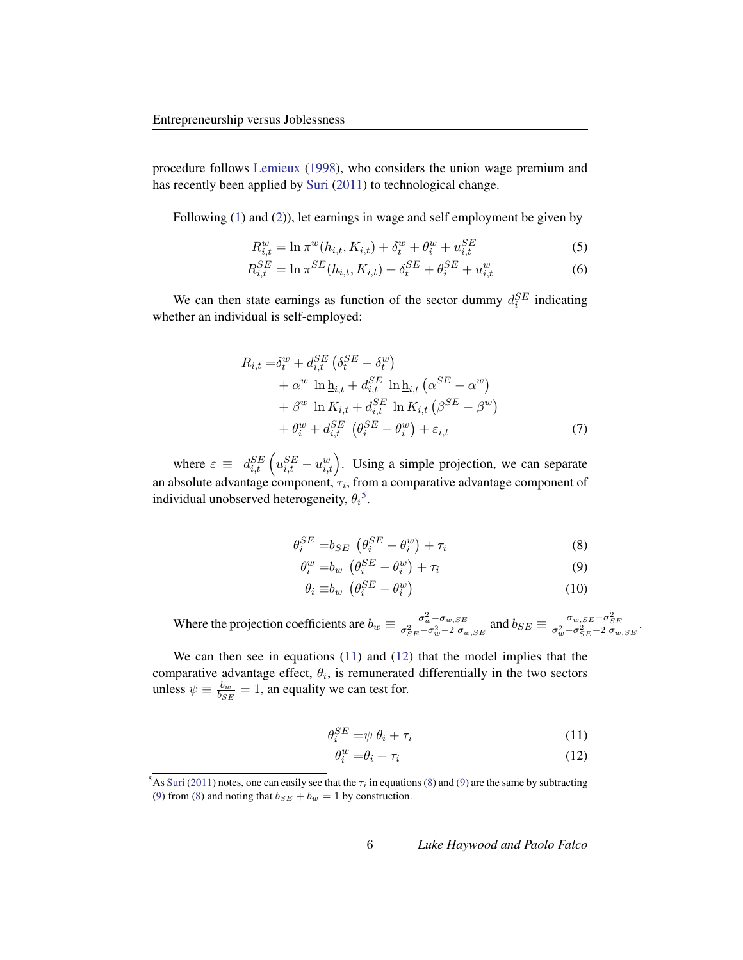procedure follows [Lemieux](#page-23-4) [\(1998\)](#page-23-4), who considers the union wage premium and has recently been applied by [Suri](#page-23-5) [\(2011\)](#page-23-5) to technological change.

Following [\(1\)](#page-3-3) and [\(2\)](#page-3-4)), let earnings in wage and self employment be given by

$$
R_{i,t}^{w} = \ln \pi^{w}(h_{i,t}, K_{i,t}) + \delta_{t}^{w} + \theta_{i}^{w} + u_{i,t}^{SE}
$$
 (5)

$$
R_{i,t}^{SE} = \ln \pi^{SE}(h_{i,t}, K_{i,t}) + \delta_t^{SE} + \theta_i^{SE} + u_{i,t}^{w}
$$
 (6)

We can then state earnings as function of the sector dummy  $d_i^{SE}$  indicating whether an individual is self-employed:

$$
R_{i,t} = \delta_t^w + d_{i,t}^{SE} \left( \delta_t^{SE} - \delta_t^w \right)
$$
  
+  $\alpha^w \ln \underline{\mathbf{h}}_{i,t} + d_{i,t}^{SE} \ln \underline{\mathbf{h}}_{i,t} \left( \alpha^{SE} - \alpha^w \right)$   
+  $\beta^w \ln K_{i,t} + d_{i,t}^{SE} \ln K_{i,t} \left( \beta^{SE} - \beta^w \right)$   
+  $\theta_i^w + d_{i,t}^{SE} \left( \theta_i^{SE} - \theta_i^w \right) + \varepsilon_{i,t}$  (7)

where  $\varepsilon \equiv d_{i,t}^{SE} \left( u_{i,t}^{SE} - u_{i,t}^{w} \right)$ . Using a simple projection, we can separate an absolute advantage component,  $\tau_i$ , from a comparative advantage component of individual unobserved heterogeneity,  $\theta_i^5$  $\theta_i^5$ .

$$
\theta_i^{SE} = b_{SE} \left( \theta_i^{SE} - \theta_i^w \right) + \tau_i \tag{8}
$$

$$
\theta_i^w = b_w \left( \theta_i^{SE} - \theta_i^w \right) + \tau_i \tag{9}
$$

<span id="page-6-4"></span><span id="page-6-3"></span>
$$
\theta_i \equiv b_w \left( \theta_i^{SE} - \theta_i^w \right) \tag{10}
$$

Where the projection coefficients are  $b_w \equiv \frac{\sigma_w^2 - \sigma_w, SE}{\sigma_w^2 - \sigma_w^2 - 2\sigma_w^2}$  $\frac{\sigma_w^2 - \sigma_{w,SE}}{\sigma_{SE}^2 - \sigma_w^2 - 2 \sigma_{w,SE}}$  and  $b_{SE} \equiv \frac{\sigma_{w,SE} - \sigma_{SE}^2}{\sigma_w^2 - \sigma_{SE}^2 - 2 \sigma_{w,SE}}$ .

We can then see in equations [\(11\)](#page-6-1) and [\(12\)](#page-6-2) that the model implies that the comparative advantage effect,  $\theta_i$ , is remunerated differentially in the two sectors unless  $\psi \equiv \frac{b_w}{b_{\text{GJ}}}$  $\frac{b_w}{b_{SE}} = 1$ , an equality we can test for.

$$
\theta_i^{SE} = \psi \ \theta_i + \tau_i \tag{11}
$$

<span id="page-6-2"></span><span id="page-6-1"></span>
$$
\theta_i^w = \theta_i + \tau_i \tag{12}
$$

<span id="page-6-0"></span><sup>&</sup>lt;sup>5</sup>As [Suri](#page-23-5) [\(2011\)](#page-23-5) notes, one can easily see that the  $\tau_i$  in equations [\(8\)](#page-6-3) and [\(9\)](#page-6-4) are the same by subtracting [\(9\)](#page-6-4) from [\(8\)](#page-6-3) and noting that  $b_{SE} + b_w = 1$  by construction.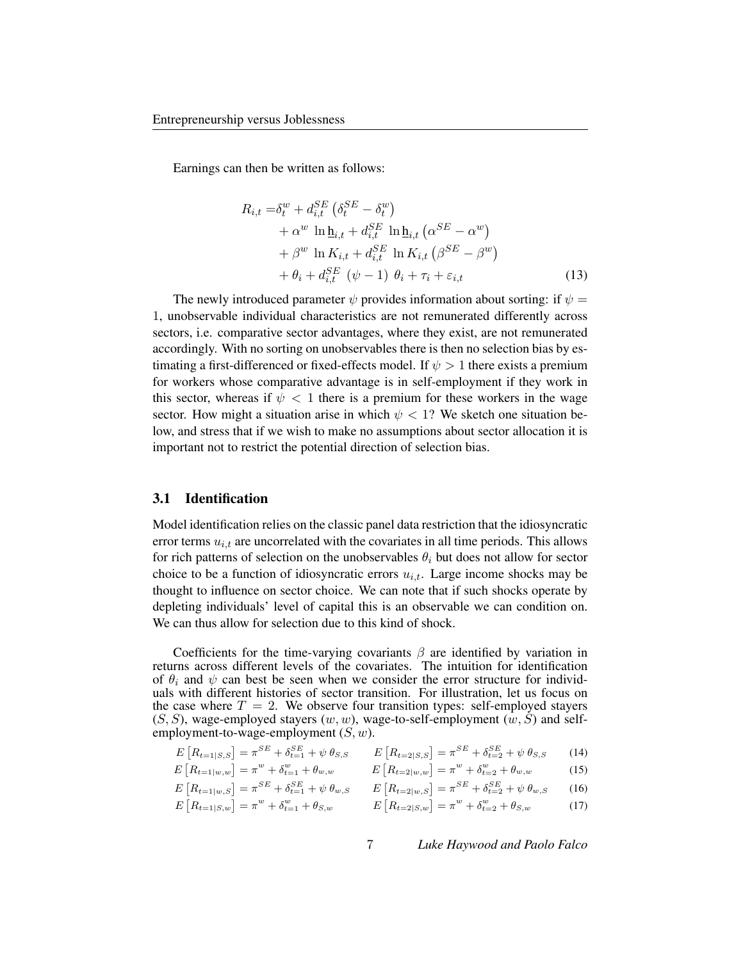Earnings can then be written as follows:

<span id="page-7-2"></span>
$$
R_{i,t} = \delta_t^w + d_{i,t}^{SE} \left( \delta_t^{SE} - \delta_t^w \right)
$$
  
+  $\alpha^w \ln \underline{\mathbf{h}}_{i,t} + d_{i,t}^{SE} \ln \underline{\mathbf{h}}_{i,t} \left( \alpha^{SE} - \alpha^w \right)$   
+  $\beta^w \ln K_{i,t} + d_{i,t}^{SE} \ln K_{i,t} \left( \beta^{SE} - \beta^w \right)$   
+  $\theta_i + d_{i,t}^{SE} \left( \psi - 1 \right) \theta_i + \tau_i + \varepsilon_{i,t}$  (13)

The newly introduced parameter  $\psi$  provides information about sorting: if  $\psi =$ 1, unobservable individual characteristics are not remunerated differently across sectors, i.e. comparative sector advantages, where they exist, are not remunerated accordingly. With no sorting on unobservables there is then no selection bias by estimating a first-differenced or fixed-effects model. If  $\psi > 1$  there exists a premium for workers whose comparative advantage is in self-employment if they work in this sector, whereas if  $\psi$  < 1 there is a premium for these workers in the wage sector. How might a situation arise in which  $\psi$  < 1? We sketch one situation below, and stress that if we wish to make no assumptions about sector allocation it is important not to restrict the potential direction of selection bias.

#### 3.1 Identification

Model identification relies on the classic panel data restriction that the idiosyncratic error terms  $u_{i,t}$  are uncorrelated with the covariates in all time periods. This allows for rich patterns of selection on the unobservables  $\theta_i$  but does not allow for sector choice to be a function of idiosyncratic errors  $u_{i,t}$ . Large income shocks may be thought to influence on sector choice. We can note that if such shocks operate by depleting individuals' level of capital this is an observable we can condition on. We can thus allow for selection due to this kind of shock.

Coefficients for the time-varying covariants  $\beta$  are identified by variation in returns across different levels of the covariates. The intuition for identification of  $\theta_i$  and  $\psi$  can best be seen when we consider the error structure for individuals with different histories of sector transition. For illustration, let us focus on the case where  $T = 2$ . We observe four transition types: self-employed stayers  $(S, S)$ , wage-employed stayers  $(w, w)$ , wage-to-self-employment  $(w, S)$  and selfemployment-to-wage-employment  $(S, w)$ .

<span id="page-7-0"></span>
$$
E\left[R_{t=1|S,S}\right] = \pi^{SE} + \delta_{t=1}^{SE} + \psi \theta_{S,S} \qquad E\left[R_{t=2|S,S}\right] = \pi^{SE} + \delta_{t=2}^{SE} + \psi \theta_{S,S} \tag{14}
$$

$$
E\left[R_{t=1|w,w}\right] = \pi^{w} + \delta_{t=1}^{w} + \theta_{w,w} \qquad E\left[R_{t=2|w,w}\right] = \pi^{w} + \delta_{t=2}^{w} + \theta_{w,w} \qquad (15)
$$

$$
E\left[R_{t=1|w,S}\right] = \pi^{SE} + \delta_{t=1}^{SE} + \psi \theta_{w,S} \qquad E\left[R_{t=2|w,S}\right] = \pi^{SE} + \delta_{t=2}^{SE} + \psi \theta_{w,S} \qquad (16)
$$

<span id="page-7-1"></span>
$$
E\left[R_{t=1|S,w}\right] = \pi^w + \delta_{t=1}^w + \theta_{S,w} \qquad E\left[R_{t=2|S,w}\right] = \pi^w + \delta_{t=2}^w + \theta_{S,w} \qquad (17)
$$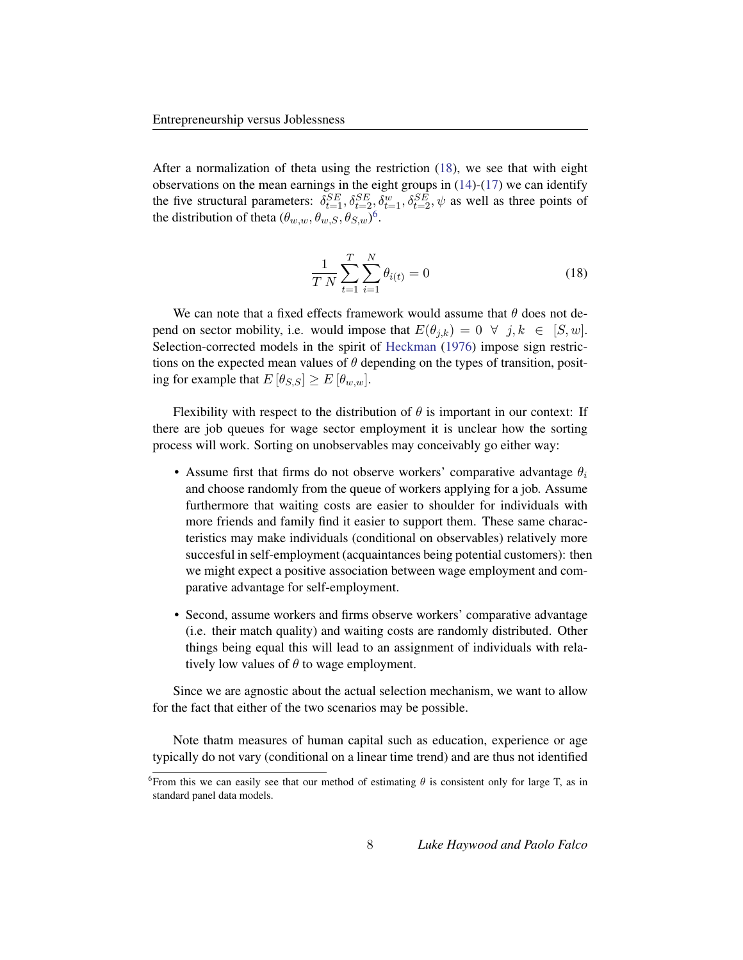After a normalization of theta using the restriction [\(18\)](#page-8-0), we see that with eight observations on the mean earnings in the eight groups in  $(14)-(17)$  $(14)-(17)$  $(14)-(17)$  we can identify the five structural parameters:  $\delta_{t=1}^{SE}, \delta_{t=2}^{SE}, \delta_{t=1}^{w}, \delta_{t=2}^{SE}, \psi$  as well as three points of the distribution of theta  $(\theta_{w,w}, \theta_{w,S}, \theta_{S,w})^6$  $(\theta_{w,w}, \theta_{w,S}, \theta_{S,w})^6$ .

<span id="page-8-0"></span>
$$
\frac{1}{T N} \sum_{t=1}^{T} \sum_{i=1}^{N} \theta_{i(t)} = 0
$$
\n(18)

We can note that a fixed effects framework would assume that  $\theta$  does not depend on sector mobility, i.e. would impose that  $E(\theta_{i,k}) = 0 \ \forall \ j,k \in [S,w].$ Selection-corrected models in the spirit of [Heckman](#page-22-4) [\(1976\)](#page-22-4) impose sign restrictions on the expected mean values of  $\theta$  depending on the types of transition, positing for example that  $E[\theta_{S,S}] \geq E[\theta_{w,w}].$ 

Flexibility with respect to the distribution of  $\theta$  is important in our context: If there are job queues for wage sector employment it is unclear how the sorting process will work. Sorting on unobservables may conceivably go either way:

- Assume first that firms do not observe workers' comparative advantage  $\theta_i$ and choose randomly from the queue of workers applying for a job. Assume furthermore that waiting costs are easier to shoulder for individuals with more friends and family find it easier to support them. These same characteristics may make individuals (conditional on observables) relatively more succesful in self-employment (acquaintances being potential customers): then we might expect a positive association between wage employment and comparative advantage for self-employment.
- Second, assume workers and firms observe workers' comparative advantage (i.e. their match quality) and waiting costs are randomly distributed. Other things being equal this will lead to an assignment of individuals with relatively low values of  $\theta$  to wage employment.

Since we are agnostic about the actual selection mechanism, we want to allow for the fact that either of the two scenarios may be possible.

Note thatm measures of human capital such as education, experience or age typically do not vary (conditional on a linear time trend) and are thus not identified

<span id="page-8-1"></span><sup>&</sup>lt;sup>6</sup> From this we can easily see that our method of estimating  $\theta$  is consistent only for large T, as in standard panel data models.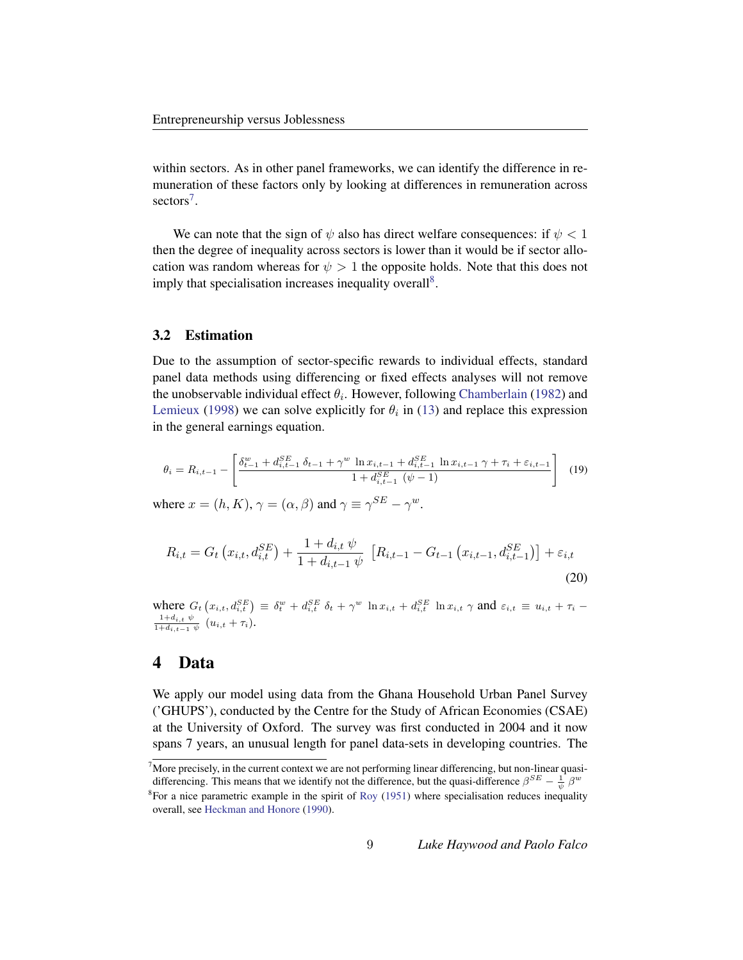within sectors. As in other panel frameworks, we can identify the difference in remuneration of these factors only by looking at differences in remuneration across sectors<sup>[7](#page-9-1)</sup>.

We can note that the sign of  $\psi$  also has direct welfare consequences: if  $\psi$  < 1 then the degree of inequality across sectors is lower than it would be if sector allocation was random whereas for  $\psi > 1$  the opposite holds. Note that this does not imply that specialisation increases inequality overall<sup>[8](#page-9-2)</sup>.

#### 3.2 Estimation

Due to the assumption of sector-specific rewards to individual effects, standard panel data methods using differencing or fixed effects analyses will not remove the unobservable individual effect  $\theta_i$ . However, following [Chamberlain](#page-22-5) [\(1982\)](#page-22-5) and [Lemieux](#page-23-4) [\(1998\)](#page-23-4) we can solve explicitly for  $\theta_i$  in [\(13\)](#page-7-2) and replace this expression in the general earnings equation.

$$
\theta_{i} = R_{i,t-1} - \left[ \frac{\delta_{t-1}^{w} + d_{i,t-1}^{SE} \delta_{t-1} + \gamma^{w} \ln x_{i,t-1} + d_{i,t-1}^{SE} \ln x_{i,t-1} \gamma + \tau_{i} + \varepsilon_{i,t-1}}{1 + d_{i,t-1}^{SE} (\psi - 1)} \right]
$$
(19)

where  $x = (h, K), \gamma = (\alpha, \beta)$  and  $\gamma \equiv \gamma^{SE} - \gamma^{w}$ .

$$
R_{i,t} = G_t\left(x_{i,t}, d_{i,t}^{SE}\right) + \frac{1 + d_{i,t} \psi}{1 + d_{i,t-1} \psi}\left[R_{i,t-1} - G_{t-1}\left(x_{i,t-1}, d_{i,t-1}^{SE}\right)\right] + \varepsilon_{i,t}
$$
\n(20)

where  $G_t(x_{i,t}, d_{i,t}^{SE}) \equiv \delta_t^w + d_{i,t}^{SE} \delta_t + \gamma^w \ln x_{i,t} + d_{i,t}^{SE} \ln x_{i,t} \gamma$  and  $\varepsilon_{i,t} \equiv u_{i,t} + \tau_i$  $1+d_{i,t} \psi$  $\frac{1+d_{i,t} \psi}{1+d_{i,t-1} \psi}$   $(u_{i,t} + \tau_i)$ .

### <span id="page-9-0"></span>4 Data

We apply our model using data from the Ghana Household Urban Panel Survey ('GHUPS'), conducted by the Centre for the Study of African Economies (CSAE) at the University of Oxford. The survey was first conducted in 2004 and it now spans 7 years, an unusual length for panel data-sets in developing countries. The

<span id="page-9-1"></span><sup>&</sup>lt;sup>7</sup>More precisely, in the current context we are not performing linear differencing, but non-linear quasidifferencing. This means that we identify not the difference, but the quasi-difference  $\beta^{SE} - \frac{1}{\psi} \beta^w$ 

<span id="page-9-2"></span> ${}^{8}$ For a nice parametric example in the spirit of [Roy](#page-23-2) [\(1951\)](#page-23-2) where specialisation reduces inequality overall, see [Heckman and Honore](#page-22-6) [\(1990\)](#page-22-6).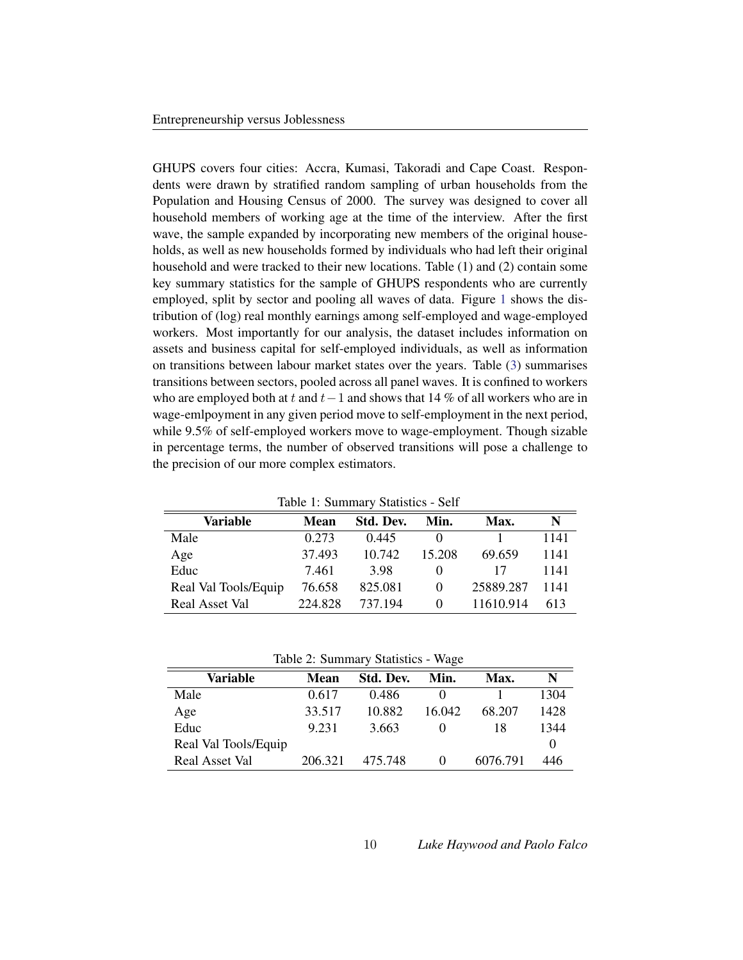GHUPS covers four cities: Accra, Kumasi, Takoradi and Cape Coast. Respondents were drawn by stratified random sampling of urban households from the Population and Housing Census of 2000. The survey was designed to cover all household members of working age at the time of the interview. After the first wave, the sample expanded by incorporating new members of the original households, as well as new households formed by individuals who had left their original household and were tracked to their new locations. Table (1) and (2) contain some key summary statistics for the sample of GHUPS respondents who are currently employed, split by sector and pooling all waves of data. Figure [1](#page-11-0) shows the distribution of (log) real monthly earnings among self-employed and wage-employed workers. Most importantly for our analysis, the dataset includes information on assets and business capital for self-employed individuals, as well as information on transitions between labour market states over the years. Table [\(3\)](#page-14-0) summarises transitions between sectors, pooled across all panel waves. It is confined to workers who are employed both at t and t−1 and shows that 14 % of all workers who are in wage-emlpoyment in any given period move to self-employment in the next period, while 9.5% of self-employed workers move to wage-employment. Though sizable in percentage terms, the number of observed transitions will pose a challenge to the precision of our more complex estimators.

| raore 1. Samman y Statistics Sen |             |           |          |           |      |
|----------------------------------|-------------|-----------|----------|-----------|------|
| Variable                         | <b>Mean</b> | Std. Dev. | Min.     | Max.      | N    |
| Male                             | 0.273       | 0.445     |          |           | 1141 |
| Age                              | 37.493      | 10.742    | 15.208   | 69.659    | 1141 |
| Educ                             | 7.461       | 3.98      | $\theta$ | 17        | 1141 |
| Real Val Tools/Equip             | 76.658      | 825.081   | $\theta$ | 25889.287 | 1141 |
| <b>Real Asset Val</b>            | 224.828     | 737.194   | $\theta$ | 11610.914 | 613  |

Table 1: Summary Statistics - Self

Table 2: Summary Statistics - Wage

| Variable             | Mean    | Std. Dev. | Min.     | Max.     | N    |
|----------------------|---------|-----------|----------|----------|------|
| Male                 | 0.617   | 0.486     |          |          | 1304 |
| Age                  | 33.517  | 10.882    | 16.042   | 68.207   | 1428 |
| Educ                 | 9.231   | 3.663     |          | 18       | 1344 |
| Real Val Tools/Equip |         |           |          |          |      |
| Real Asset Val       | 206.321 | 475.748   | $\theta$ | 6076.791 | 446  |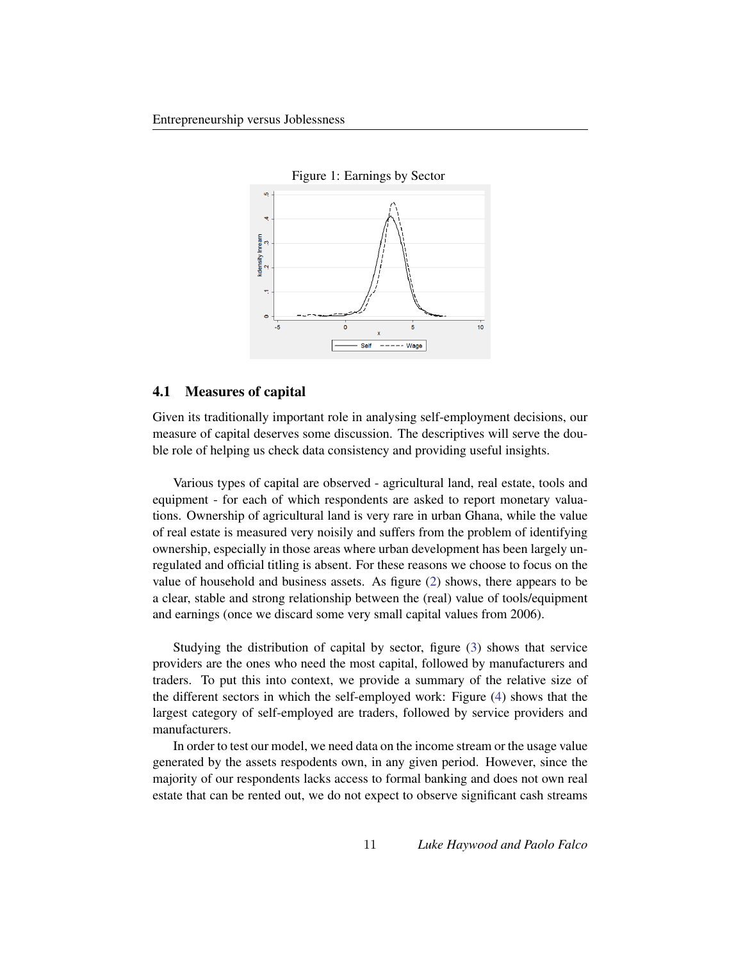<span id="page-11-0"></span>

#### 4.1 Measures of capital

Given its traditionally important role in analysing self-employment decisions, our measure of capital deserves some discussion. The descriptives will serve the double role of helping us check data consistency and providing useful insights.

Various types of capital are observed - agricultural land, real estate, tools and equipment - for each of which respondents are asked to report monetary valuations. Ownership of agricultural land is very rare in urban Ghana, while the value of real estate is measured very noisily and suffers from the problem of identifying ownership, especially in those areas where urban development has been largely unregulated and official titling is absent. For these reasons we choose to focus on the value of household and business assets. As figure [\(2\)](#page-12-0) shows, there appears to be a clear, stable and strong relationship between the (real) value of tools/equipment and earnings (once we discard some very small capital values from 2006).

Studying the distribution of capital by sector, figure [\(3\)](#page-13-0) shows that service providers are the ones who need the most capital, followed by manufacturers and traders. To put this into context, we provide a summary of the relative size of the different sectors in which the self-employed work: Figure [\(4\)](#page-13-1) shows that the largest category of self-employed are traders, followed by service providers and manufacturers.

In order to test our model, we need data on the income stream or the usage value generated by the assets respodents own, in any given period. However, since the majority of our respondents lacks access to formal banking and does not own real estate that can be rented out, we do not expect to observe significant cash streams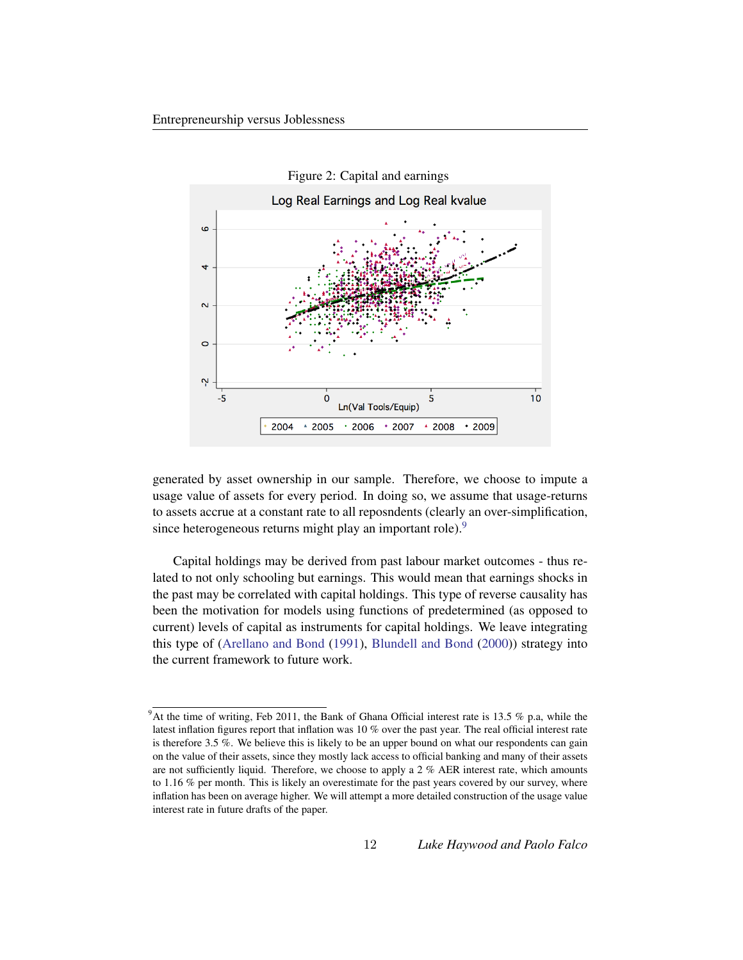<span id="page-12-0"></span>

generated by asset ownership in our sample. Therefore, we choose to impute a usage value of assets for every period. In doing so, we assume that usage-returns to assets accrue at a constant rate to all reposndents (clearly an over-simplification, since heterogeneous returns might play an important role).<sup>[9](#page-12-1)</sup>

Capital holdings may be derived from past labour market outcomes - thus related to not only schooling but earnings. This would mean that earnings shocks in the past may be correlated with capital holdings. This type of reverse causality has been the motivation for models using functions of predetermined (as opposed to current) levels of capital as instruments for capital holdings. We leave integrating this type of [\(Arellano and Bond](#page-22-7) [\(1991\)](#page-22-7), [Blundell and Bond](#page-22-8) [\(2000\)](#page-22-8)) strategy into the current framework to future work.

<span id="page-12-1"></span> $9$ At the time of writing, Feb 2011, the Bank of Ghana Official interest rate is 13.5 % p.a, while the latest inflation figures report that inflation was 10 % over the past year. The real official interest rate is therefore 3.5 %. We believe this is likely to be an upper bound on what our respondents can gain on the value of their assets, since they mostly lack access to official banking and many of their assets are not sufficiently liquid. Therefore, we choose to apply a 2 % AER interest rate, which amounts to 1.16 % per month. This is likely an overestimate for the past years covered by our survey, where inflation has been on average higher. We will attempt a more detailed construction of the usage value interest rate in future drafts of the paper.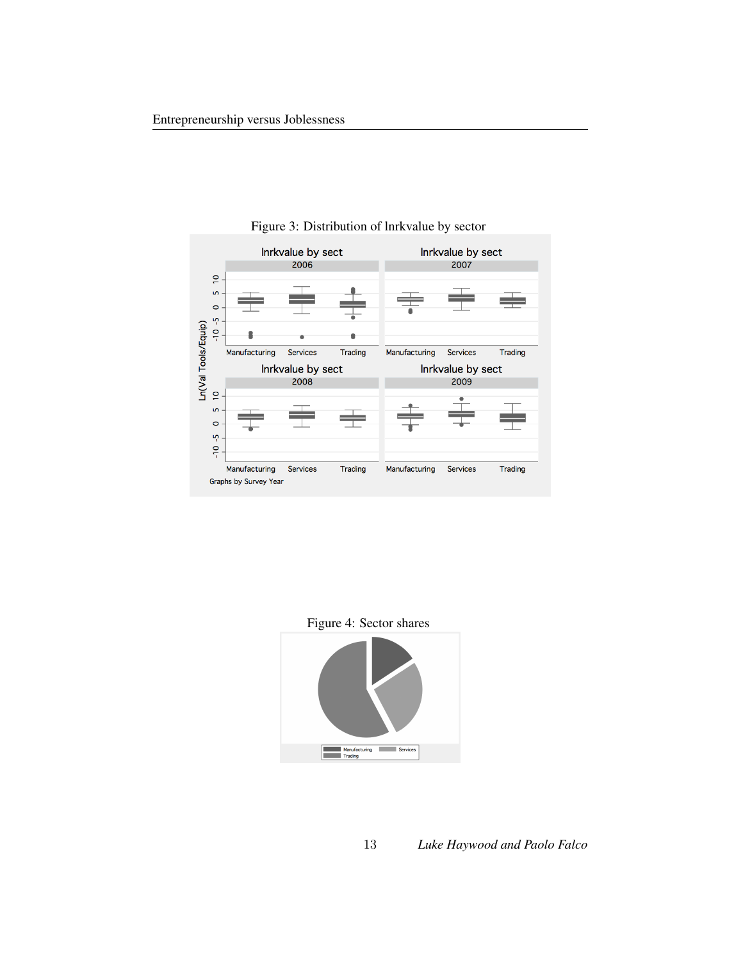

<span id="page-13-0"></span>Figure 3: Distribution of lnrkvalue by sector

<span id="page-13-1"></span>Figure 4: Sector shares

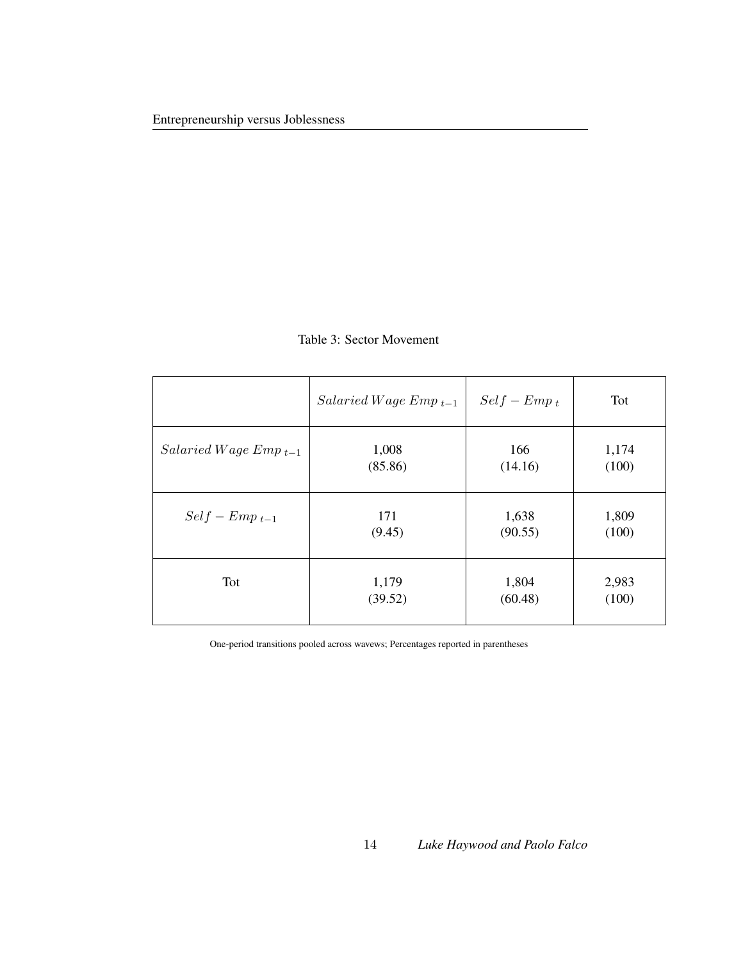|                             | $Salaried\,Wage\,Emp_{t-1}$ | $Self - Emp_t$ | Tot   |
|-----------------------------|-----------------------------|----------------|-------|
| $Salaried\,Wage\,Emp_{t-1}$ | 1,008                       | 166            | 1,174 |
|                             | (85.86)                     | (14.16)        | (100) |
| $Self - Emp_{t-1}$          | 171                         | 1,638          | 1,809 |
|                             | (9.45)                      | (90.55)        | (100) |
| Tot                         | 1,179                       | 1,804          | 2,983 |
|                             | (39.52)                     | (60.48)        | (100) |

#### <span id="page-14-0"></span>Table 3: Sector Movement

One-period transitions pooled across wavews; Percentages reported in parentheses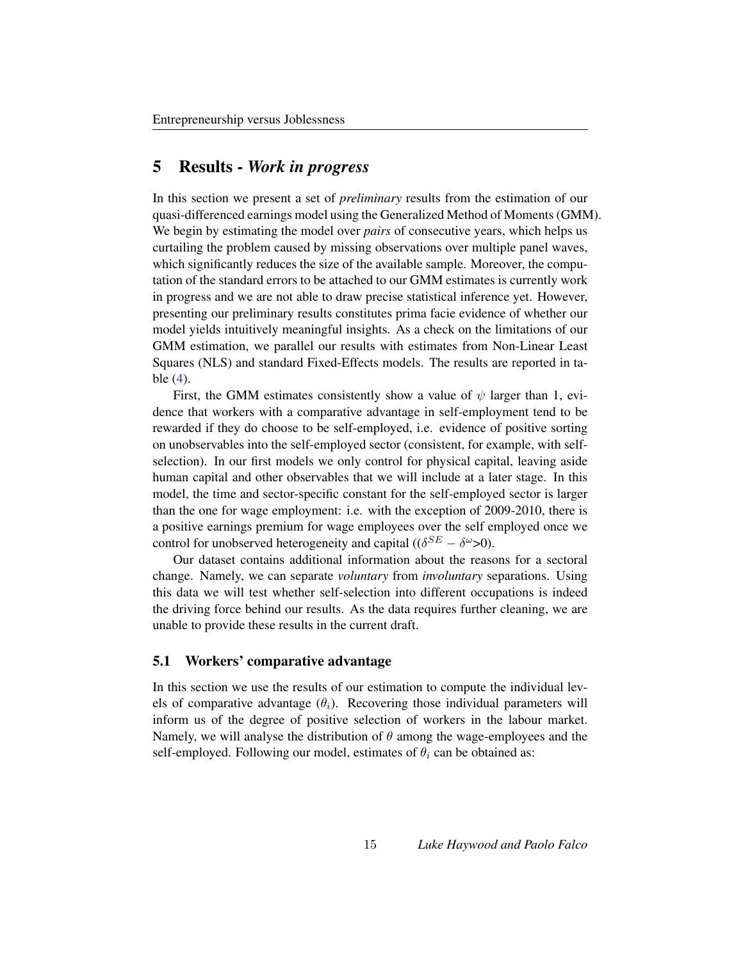### <span id="page-15-0"></span>5 Results - *Work in progress*

In this section we present a set of *preliminary* results from the estimation of our quasi-differenced earnings model using the Generalized Method of Moments (GMM). We begin by estimating the model over *pairs* of consecutive years, which helps us curtailing the problem caused by missing observations over multiple panel waves, which significantly reduces the size of the available sample. Moreover, the computation of the standard errors to be attached to our GMM estimates is currently work in progress and we are not able to draw precise statistical inference yet. However, presenting our preliminary results constitutes prima facie evidence of whether our model yields intuitively meaningful insights. As a check on the limitations of our GMM estimation, we parallel our results with estimates from Non-Linear Least Squares (NLS) and standard Fixed-Effects models. The results are reported in table [\(4\)](#page-17-0).

First, the GMM estimates consistently show a value of  $\psi$  larger than 1, evidence that workers with a comparative advantage in self-employment tend to be rewarded if they do choose to be self-employed, i.e. evidence of positive sorting on unobservables into the self-employed sector (consistent, for example, with selfselection). In our first models we only control for physical capital, leaving aside human capital and other observables that we will include at a later stage. In this model, the time and sector-specific constant for the self-employed sector is larger than the one for wage employment: i.e. with the exception of 2009-2010, there is a positive earnings premium for wage employees over the self employed once we control for unobserved heterogeneity and capital (( $\delta^{SE} - \delta^{\omega} > 0$ ).

Our dataset contains additional information about the reasons for a sectoral change. Namely, we can separate *voluntary* from *involuntary* separations. Using this data we will test whether self-selection into different occupations is indeed the driving force behind our results. As the data requires further cleaning, we are unable to provide these results in the current draft.

#### 5.1 Workers' comparative advantage

In this section we use the results of our estimation to compute the individual levels of comparative advantage  $(\theta_i)$ . Recovering those individual parameters will inform us of the degree of positive selection of workers in the labour market. Namely, we will analyse the distribution of  $\theta$  among the wage-employees and the self-employed. Following our model, estimates of  $\theta_i$  can be obtained as: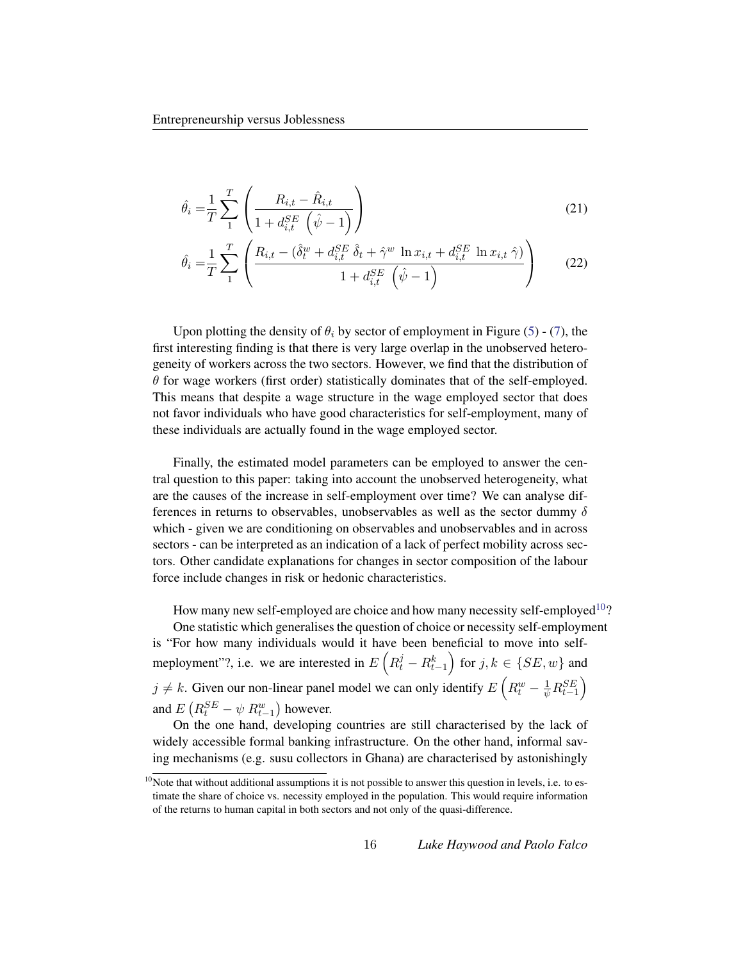$$
\hat{\theta}_i = \frac{1}{T} \sum_{1}^{T} \left( \frac{R_{i,t} - \hat{R}_{i,t}}{1 + d_{i,t}^{SE} \left( \hat{\psi} - 1 \right)} \right)
$$
(21)

$$
\hat{\theta}_{i} = \frac{1}{T} \sum_{1}^{T} \left( \frac{R_{i,t} - (\hat{\delta}_{t}^{w} + d_{i,t}^{SE} \hat{\delta}_{t} + \hat{\gamma}^{w} \ln x_{i,t} + d_{i,t}^{SE} \ln x_{i,t} \hat{\gamma})}{1 + d_{i,t}^{SE} (\hat{\psi} - 1)} \right)
$$
(22)

Upon plotting the density of  $\theta_i$  by sector of employment in Figure [\(5\)](#page-18-0) - [\(7\)](#page-19-0), the first interesting finding is that there is very large overlap in the unobserved heterogeneity of workers across the two sectors. However, we find that the distribution of  $\theta$  for wage workers (first order) statistically dominates that of the self-employed. This means that despite a wage structure in the wage employed sector that does not favor individuals who have good characteristics for self-employment, many of these individuals are actually found in the wage employed sector.

Finally, the estimated model parameters can be employed to answer the central question to this paper: taking into account the unobserved heterogeneity, what are the causes of the increase in self-employment over time? We can analyse differences in returns to observables, unobservables as well as the sector dummy  $\delta$ which - given we are conditioning on observables and unobservables and in across sectors - can be interpreted as an indication of a lack of perfect mobility across sectors. Other candidate explanations for changes in sector composition of the labour force include changes in risk or hedonic characteristics.

How many new self-employed are choice and how many necessity self-employed  $10$ ?

One statistic which generalises the question of choice or necessity self-employment is "For how many individuals would it have been beneficial to move into selfmeployment"?, i.e. we are interested in  $E\left(R_t^j - R_{t-1}^k\right)$  for  $j, k \in \{SE, w\}$  and  $j \neq k$ . Given our non-linear panel model we can only identify  $E\left(R_t^w - \frac{1}{\psi}R_{t-1}^{SE}\right)$ and  $E\left(R_t^{SE} - \psi \ R_{t-1}^w\right)$  however.

On the one hand, developing countries are still characterised by the lack of widely accessible formal banking infrastructure. On the other hand, informal saving mechanisms (e.g. susu collectors in Ghana) are characterised by astonishingly

<span id="page-16-0"></span> $10$ Note that without additional assumptions it is not possible to answer this question in levels, i.e. to estimate the share of choice vs. necessity employed in the population. This would require information of the returns to human capital in both sectors and not only of the quasi-difference.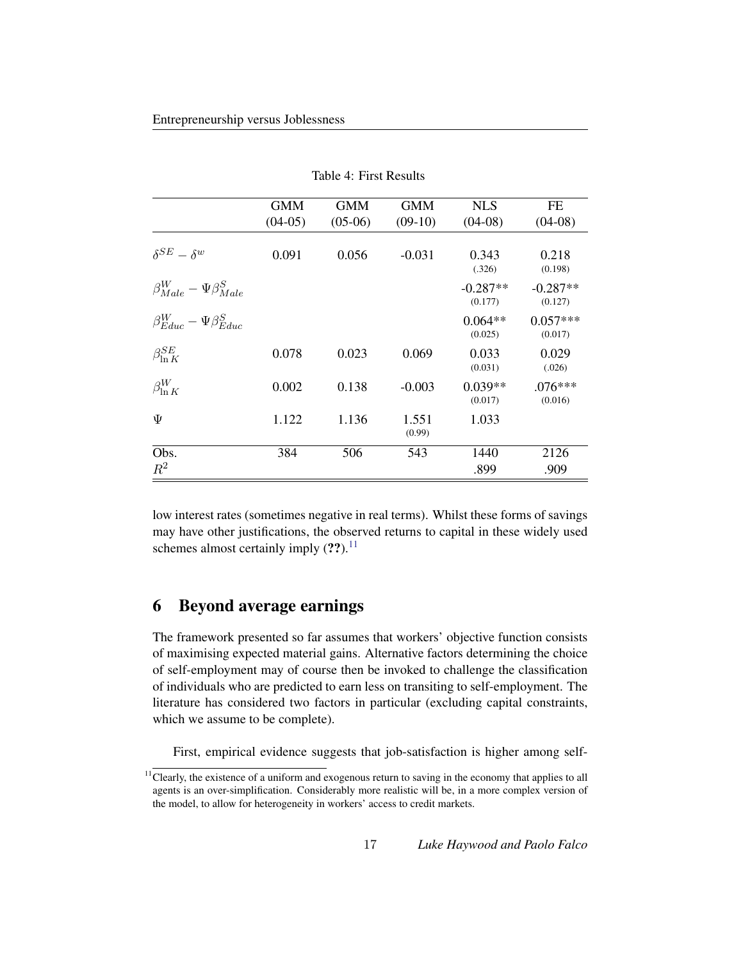|                                        | <b>GMM</b> | <b>GMM</b> | <b>GMM</b>      | <b>NLS</b>            | FE                    |
|----------------------------------------|------------|------------|-----------------|-----------------------|-----------------------|
|                                        | $(04-05)$  | $(05-06)$  | $(09-10)$       | $(04-08)$             | $(04-08)$             |
| $\delta^{SE} - \delta^w$               | 0.091      | 0.056      | $-0.031$        | 0.343<br>(.326)       | 0.218<br>(0.198)      |
| $\beta_{Male}^W - \Psi \beta_{Male}^S$ |            |            |                 | $-0.287**$<br>(0.177) | $-0.287**$<br>(0.127) |
| $\beta_{Educ}^W - \Psi \beta_{Educ}^S$ |            |            |                 | $0.064**$<br>(0.025)  | $0.057***$<br>(0.017) |
| $\beta_{\ln K}^{SE}$                   | 0.078      | 0.023      | 0.069           | 0.033<br>(0.031)      | 0.029<br>(.026)       |
| $\beta_{\ln K}^W$                      | 0.002      | 0.138      | $-0.003$        | $0.039**$<br>(0.017)  | $.076***$<br>(0.016)  |
| Ψ                                      | 1.122      | 1.136      | 1.551<br>(0.99) | 1.033                 |                       |
| Obs.                                   | 384        | 506        | 543             | 1440                  | 2126                  |
| $R^2$                                  |            |            |                 | .899                  | .909                  |

<span id="page-17-0"></span>Table 4: First Results

low interest rates (sometimes negative in real terms). Whilst these forms of savings may have other justifications, the observed returns to capital in these widely used schemes almost certainly imply  $(?)$ .<sup>[11](#page-17-1)</sup>

# 6 Beyond average earnings

The framework presented so far assumes that workers' objective function consists of maximising expected material gains. Alternative factors determining the choice of self-employment may of course then be invoked to challenge the classification of individuals who are predicted to earn less on transiting to self-employment. The literature has considered two factors in particular (excluding capital constraints, which we assume to be complete).

First, empirical evidence suggests that job-satisfaction is higher among self-

<span id="page-17-1"></span><sup>&</sup>lt;sup>11</sup> Clearly, the existence of a uniform and exogenous return to saving in the economy that applies to all agents is an over-simplification. Considerably more realistic will be, in a more complex version of the model, to allow for heterogeneity in workers' access to credit markets.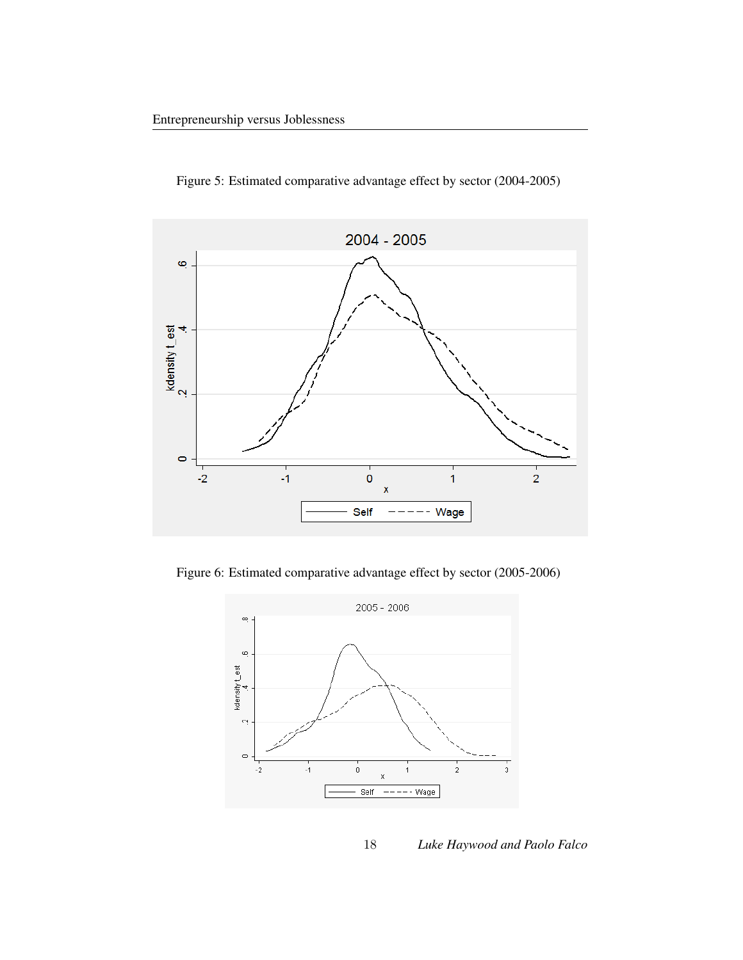

<span id="page-18-0"></span>Figure 5: Estimated comparative advantage effect by sector (2004-2005)

Figure 6: Estimated comparative advantage effect by sector (2005-2006)

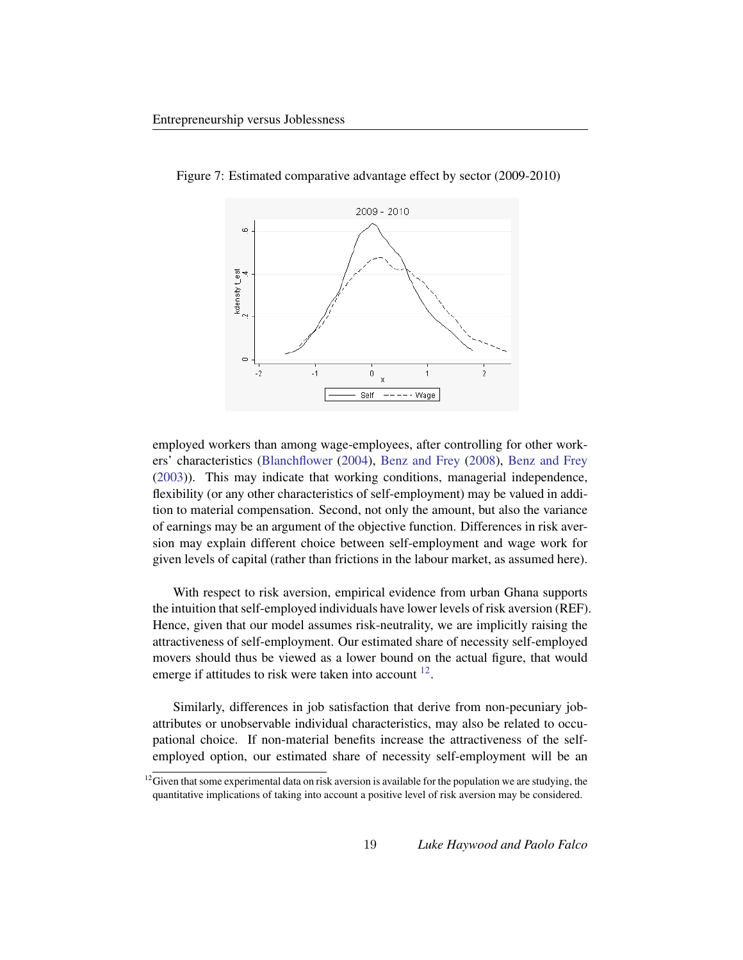<span id="page-19-0"></span>

Figure 7: Estimated comparative advantage effect by sector (2009-2010)

employed workers than among wage-employees, after controlling for other workers' characteristics [\(Blanchflower](#page-22-9) [\(2004\)](#page-22-9), [Benz and Frey](#page-22-10) [\(2008\)](#page-22-10), [Benz and Frey](#page-22-11) [\(2003\)](#page-22-11)). This may indicate that working conditions, managerial independence, flexibility (or any other characteristics of self-employment) may be valued in addition to material compensation. Second, not only the amount, but also the variance of earnings may be an argument of the objective function. Differences in risk aversion may explain different choice between self-employment and wage work for given levels of capital (rather than frictions in the labour market, as assumed here).

With respect to risk aversion, empirical evidence from urban Ghana supports the intuition that self-employed individuals have lower levels of risk aversion (REF). Hence, given that our model assumes risk-neutrality, we are implicitly raising the attractiveness of self-employment. Our estimated share of necessity self-employed movers should thus be viewed as a lower bound on the actual figure, that would emerge if attitudes to risk were taken into account  $12$ .

Similarly, differences in job satisfaction that derive from non-pecuniary jobattributes or unobservable individual characteristics, may also be related to occupational choice. If non-material benefits increase the attractiveness of the selfemployed option, our estimated share of necessity self-employment will be an

<span id="page-19-1"></span> $12$ Given that some experimental data on risk aversion is available for the population we are studying, the quantitative implications of taking into account a positive level of risk aversion may be considered.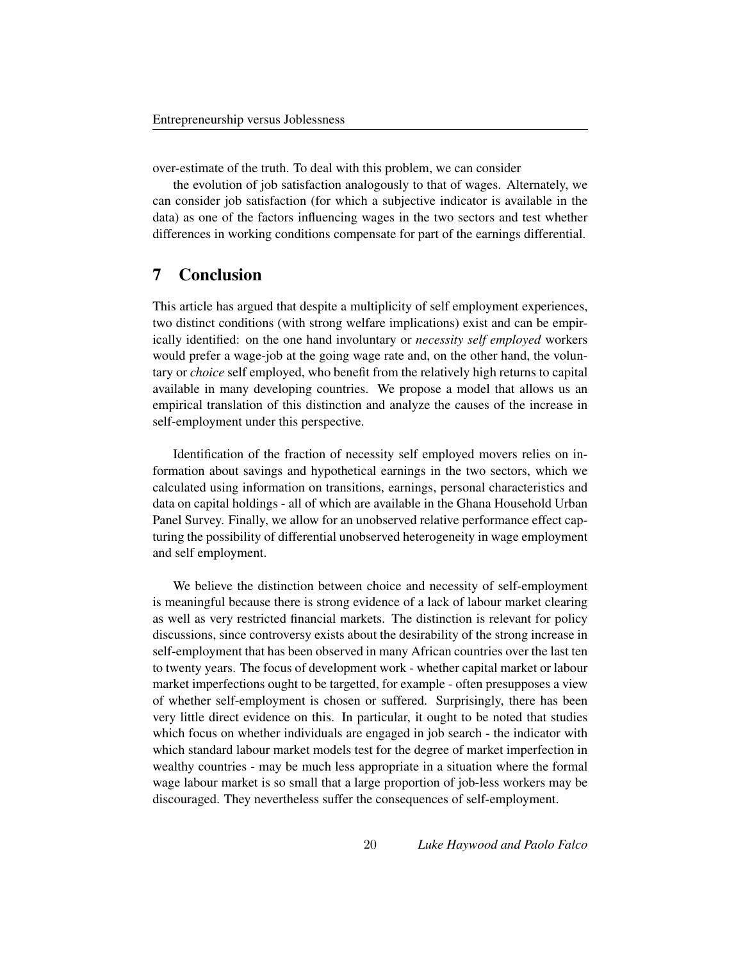over-estimate of the truth. To deal with this problem, we can consider

the evolution of job satisfaction analogously to that of wages. Alternately, we can consider job satisfaction (for which a subjective indicator is available in the data) as one of the factors influencing wages in the two sectors and test whether differences in working conditions compensate for part of the earnings differential.

# 7 Conclusion

This article has argued that despite a multiplicity of self employment experiences, two distinct conditions (with strong welfare implications) exist and can be empirically identified: on the one hand involuntary or *necessity self employed* workers would prefer a wage-job at the going wage rate and, on the other hand, the voluntary or *choice* self employed, who benefit from the relatively high returns to capital available in many developing countries. We propose a model that allows us an empirical translation of this distinction and analyze the causes of the increase in self-employment under this perspective.

Identification of the fraction of necessity self employed movers relies on information about savings and hypothetical earnings in the two sectors, which we calculated using information on transitions, earnings, personal characteristics and data on capital holdings - all of which are available in the Ghana Household Urban Panel Survey. Finally, we allow for an unobserved relative performance effect capturing the possibility of differential unobserved heterogeneity in wage employment and self employment.

We believe the distinction between choice and necessity of self-employment is meaningful because there is strong evidence of a lack of labour market clearing as well as very restricted financial markets. The distinction is relevant for policy discussions, since controversy exists about the desirability of the strong increase in self-employment that has been observed in many African countries over the last ten to twenty years. The focus of development work - whether capital market or labour market imperfections ought to be targetted, for example - often presupposes a view of whether self-employment is chosen or suffered. Surprisingly, there has been very little direct evidence on this. In particular, it ought to be noted that studies which focus on whether individuals are engaged in job search - the indicator with which standard labour market models test for the degree of market imperfection in wealthy countries - may be much less appropriate in a situation where the formal wage labour market is so small that a large proportion of job-less workers may be discouraged. They nevertheless suffer the consequences of self-employment.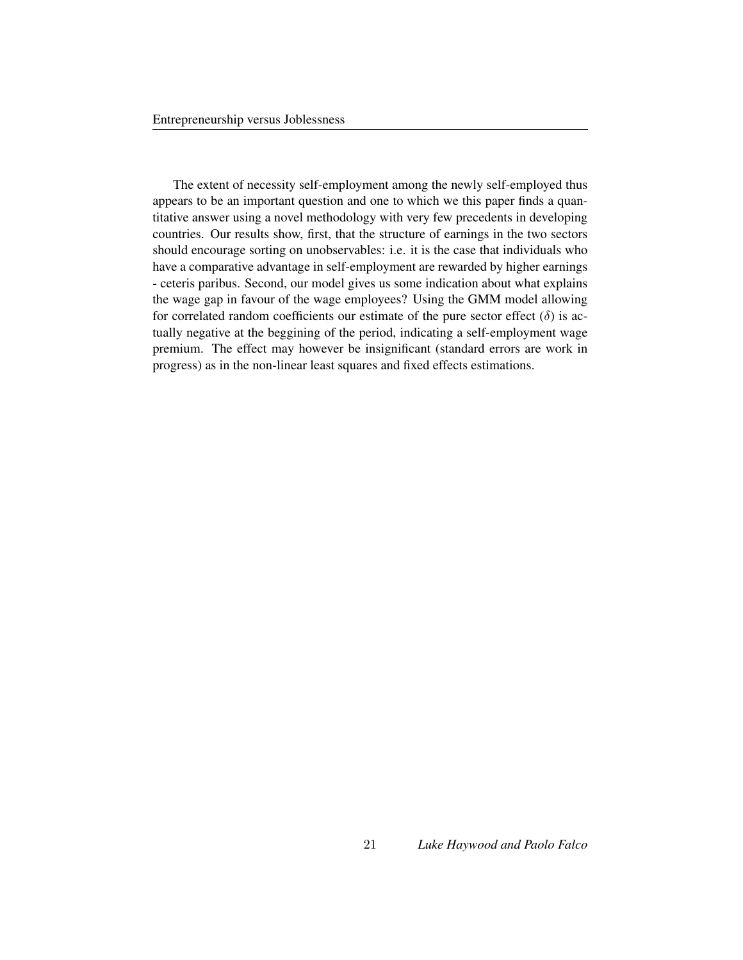The extent of necessity self-employment among the newly self-employed thus appears to be an important question and one to which we this paper finds a quantitative answer using a novel methodology with very few precedents in developing countries. Our results show, first, that the structure of earnings in the two sectors should encourage sorting on unobservables: i.e. it is the case that individuals who have a comparative advantage in self-employment are rewarded by higher earnings - ceteris paribus. Second, our model gives us some indication about what explains the wage gap in favour of the wage employees? Using the GMM model allowing for correlated random coefficients our estimate of the pure sector effect  $(\delta)$  is actually negative at the beggining of the period, indicating a self-employment wage premium. The effect may however be insignificant (standard errors are work in progress) as in the non-linear least squares and fixed effects estimations.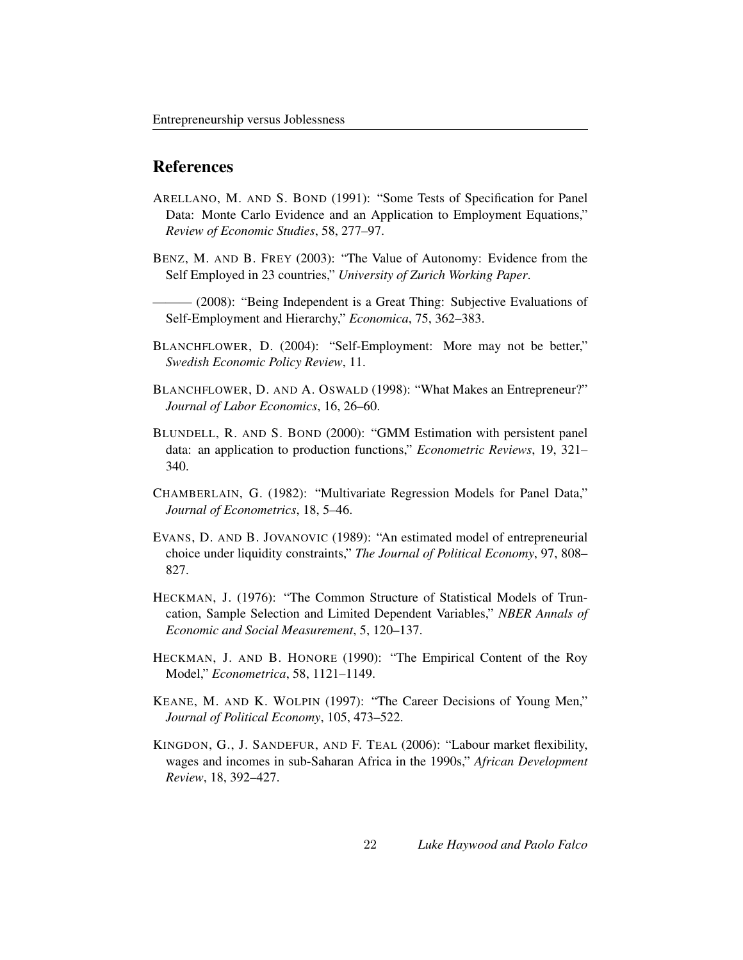### References

- <span id="page-22-7"></span>ARELLANO, M. AND S. BOND (1991): "Some Tests of Specification for Panel Data: Monte Carlo Evidence and an Application to Employment Equations," *Review of Economic Studies*, 58, 277–97.
- <span id="page-22-11"></span>BENZ, M. AND B. FREY (2003): "The Value of Autonomy: Evidence from the Self Employed in 23 countries," *University of Zurich Working Paper*.
- <span id="page-22-10"></span>(2008): "Being Independent is a Great Thing: Subjective Evaluations of Self-Employment and Hierarchy," *Economica*, 75, 362–383.
- <span id="page-22-9"></span>BLANCHFLOWER, D. (2004): "Self-Employment: More may not be better," *Swedish Economic Policy Review*, 11.
- <span id="page-22-2"></span>BLANCHFLOWER, D. AND A. OSWALD (1998): "What Makes an Entrepreneur?" *Journal of Labor Economics*, 16, 26–60.
- <span id="page-22-8"></span>BLUNDELL, R. AND S. BOND (2000): "GMM Estimation with persistent panel data: an application to production functions," *Econometric Reviews*, 19, 321– 340.
- <span id="page-22-5"></span>CHAMBERLAIN, G. (1982): "Multivariate Regression Models for Panel Data," *Journal of Econometrics*, 18, 5–46.
- <span id="page-22-1"></span>EVANS, D. AND B. JOVANOVIC (1989): "An estimated model of entrepreneurial choice under liquidity constraints," *The Journal of Political Economy*, 97, 808– 827.
- <span id="page-22-4"></span>HECKMAN, J. (1976): "The Common Structure of Statistical Models of Truncation, Sample Selection and Limited Dependent Variables," *NBER Annals of Economic and Social Measurement*, 5, 120–137.
- <span id="page-22-6"></span>HECKMAN, J. AND B. HONORE (1990): "The Empirical Content of the Roy Model," *Econometrica*, 58, 1121–1149.
- <span id="page-22-3"></span>KEANE, M. AND K. WOLPIN (1997): "The Career Decisions of Young Men," *Journal of Political Economy*, 105, 473–522.
- <span id="page-22-0"></span>KINGDON, G., J. SANDEFUR, AND F. TEAL (2006): "Labour market flexibility, wages and incomes in sub-Saharan Africa in the 1990s," *African Development Review*, 18, 392–427.